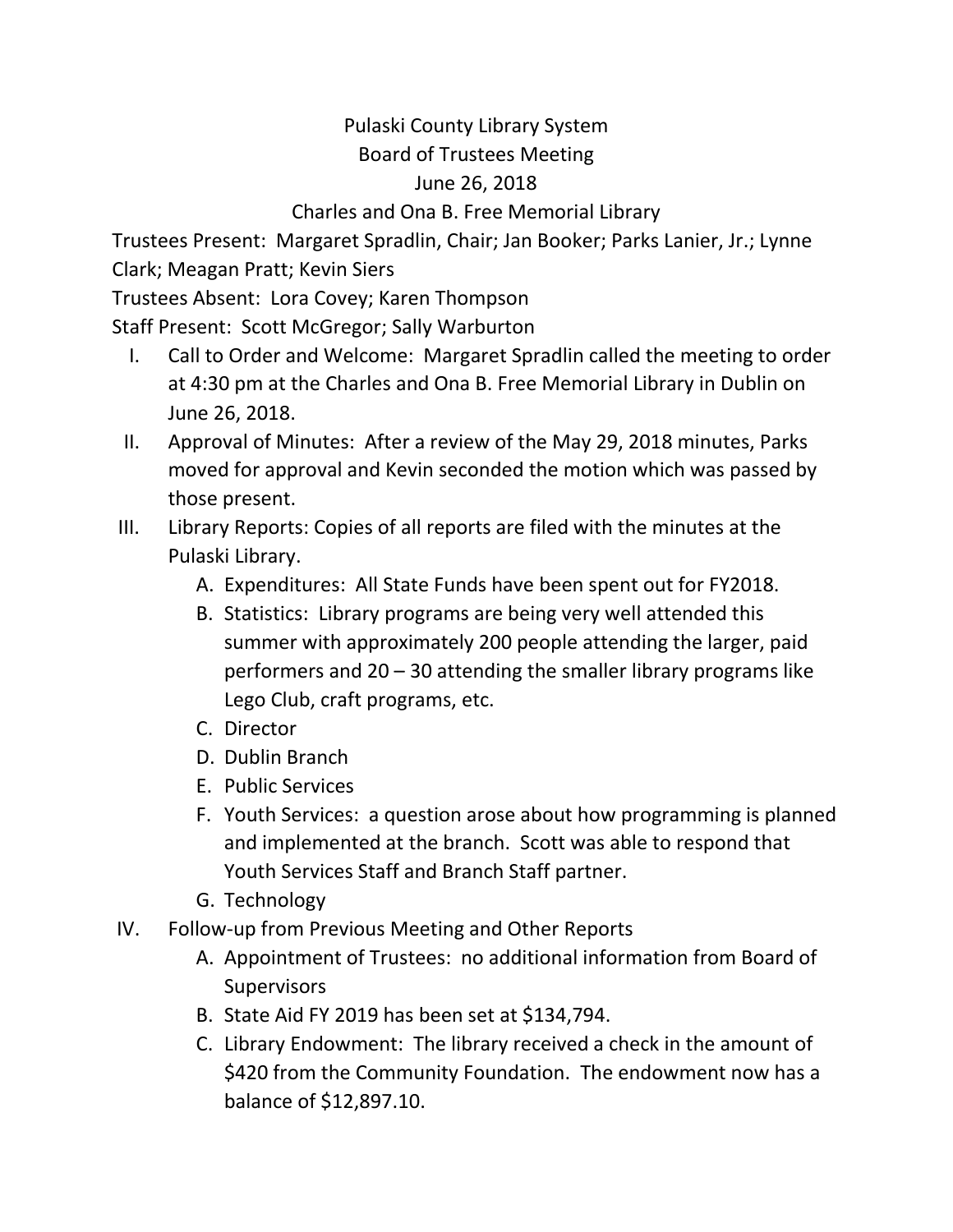## Pulaski County Library System Board of Trustees Meeting June 26, 2018

## Charles and Ona B. Free Memorial Library

Trustees Present: Margaret Spradlin, Chair; Jan Booker; Parks Lanier, Jr.; Lynne Clark; Meagan Pratt; Kevin Siers

Trustees Absent: Lora Covey; Karen Thompson

Staff Present: Scott McGregor; Sally Warburton

- I. Call to Order and Welcome: Margaret Spradlin called the meeting to order at 4:30 pm at the Charles and Ona B. Free Memorial Library in Dublin on June 26, 2018.
- II. Approval of Minutes: After a review of the May 29, 2018 minutes, Parks moved for approval and Kevin seconded the motion which was passed by those present.
- III. Library Reports: Copies of all reports are filed with the minutes at the Pulaski Library.
	- A. Expenditures: All State Funds have been spent out for FY2018.
	- B. Statistics: Library programs are being very well attended this summer with approximately 200 people attending the larger, paid performers and 20 – 30 attending the smaller library programs like Lego Club, craft programs, etc.
	- C. Director
	- D. Dublin Branch
	- E. Public Services
	- F. Youth Services: a question arose about how programming is planned and implemented at the branch. Scott was able to respond that Youth Services Staff and Branch Staff partner.
	- G. Technology
- IV. Follow-up from Previous Meeting and Other Reports
	- A. Appointment of Trustees: no additional information from Board of **Supervisors**
	- B. State Aid FY 2019 has been set at \$134,794.
	- C. Library Endowment: The library received a check in the amount of \$420 from the Community Foundation. The endowment now has a balance of \$12,897.10.